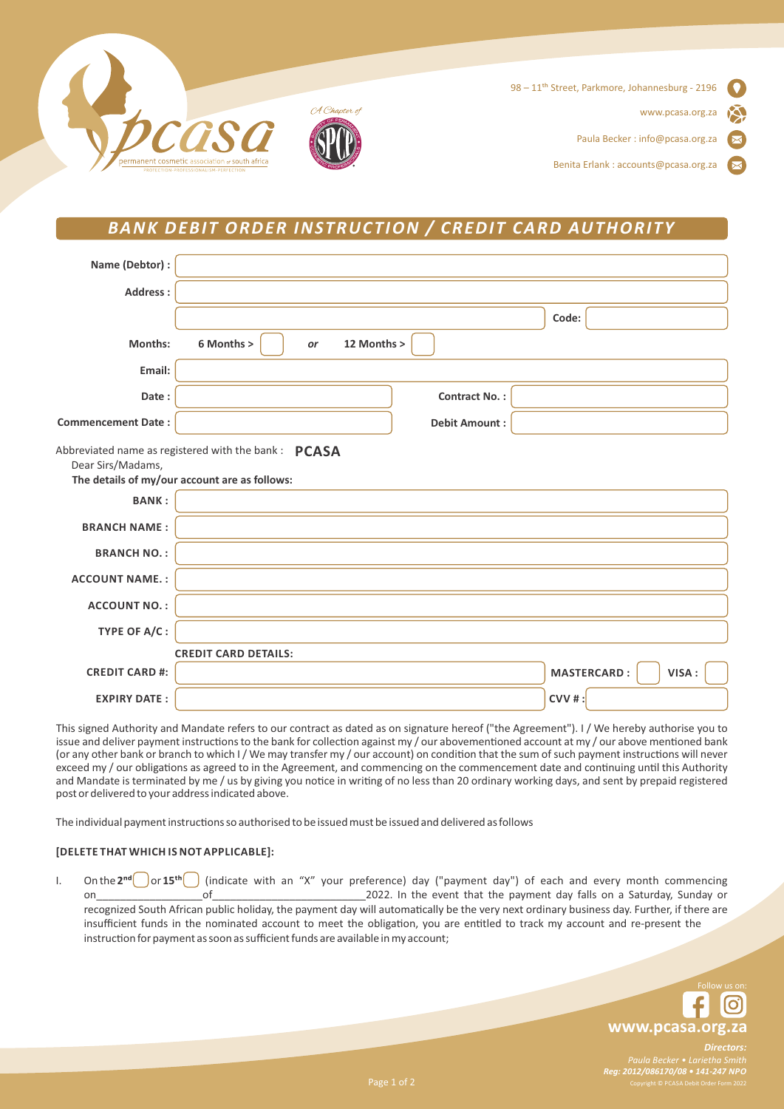

# *BANK DEBIT ORDER INSTRUCTION / CREDIT CARD AUTHORITY*

| Name (Debtor) :           |                                                                                                       |                      |                             |
|---------------------------|-------------------------------------------------------------------------------------------------------|----------------------|-----------------------------|
| Address:                  |                                                                                                       |                      |                             |
|                           |                                                                                                       |                      | Code:                       |
| Months:                   | 6 Months ><br>12 Months ><br>or                                                                       |                      |                             |
| Email:                    |                                                                                                       |                      |                             |
| Date:                     |                                                                                                       | <b>Contract No.:</b> |                             |
| <b>Commencement Date:</b> |                                                                                                       | <b>Debit Amount:</b> |                             |
| Dear Sirs/Madams,         | Abbreviated name as registered with the bank : PCASA<br>The details of my/our account are as follows: |                      |                             |
| <b>BANK:</b>              |                                                                                                       |                      |                             |
| <b>BRANCH NAME:</b>       |                                                                                                       |                      |                             |
| <b>BRANCH NO.:</b>        |                                                                                                       |                      |                             |
| <b>ACCOUNT NAME.:</b>     |                                                                                                       |                      |                             |
| <b>ACCOUNT NO.:</b>       |                                                                                                       |                      |                             |
| TYPE OF A/C:              |                                                                                                       |                      |                             |
|                           | <b>CREDIT CARD DETAILS:</b>                                                                           |                      |                             |
| <b>CREDIT CARD #:</b>     |                                                                                                       |                      | <b>MASTERCARD:</b><br>VISA: |
| <b>EXPIRY DATE:</b>       |                                                                                                       |                      | $CVV$ #:                    |

This signed Authority and Mandate refers to our contract as dated as on signature hereof ("the Agreement"). I / We hereby authorise you to issue and deliver payment instructions to the bank for collection against my / our abovementioned account at my / our above mentioned bank (or any other bank or branch to which I / We may transfer my / our account) on condition that the sum of such payment instructions will never exceed my / our obligations as agreed to in the Agreement, and commencing on the commencement date and continuing until this Authority and Mandate is terminated by me / us by giving you notice in writing of no less than 20 ordinary working days, and sent by prepaid registered post or delivered to your address indicated above.

The individual payment instructions so authorised to be issued must be issued and delivered as follows

## **[DELETE THAT WHICH IS NOT APPLICABLE]:**

I. On the 2<sup>nd</sup> or 15<sup>th</sup> (indicate with an "X" your preference) day ("payment day") of each and every month commencing on and the payment day falls on a Saturday, Sunday or recognized South African public holiday, the payment day will automatically be the very next ordinary business day. Further, if there are insufficient funds in the nominated account to meet the obligation, you are entitled to track my account and re-present the instruction for payment as soon as sufficient funds are available in my account;

**www.pcasa.org.za**

Dire *Reg: 2012/086170/08 • 141-247 NPO*